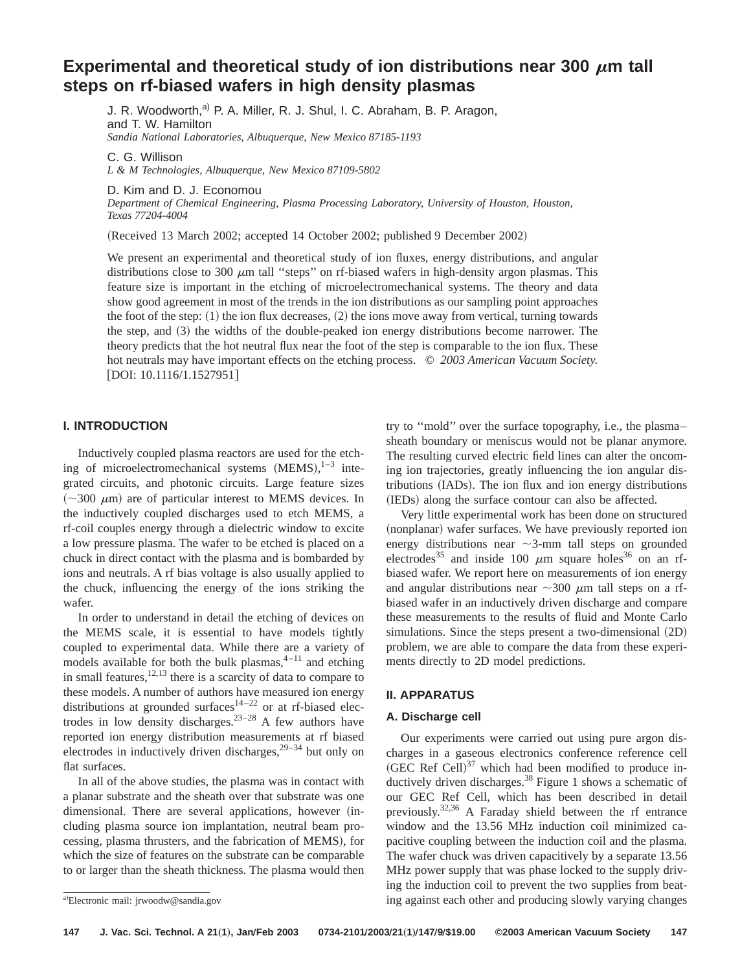# **Experimental and theoretical study of ion distributions near 300**  $\mu$ **m tall steps on rf-biased wafers in high density plasmas**

J. R. Woodworth,<sup>a)</sup> P. A. Miller, R. J. Shul, I. C. Abraham, B. P. Aragon, and T. W. Hamilton *Sandia National Laboratories, Albuquerque, New Mexico 87185-1193*

C. G. Willison

*L & M Technologies, Albuquerque, New Mexico 87109-5802*

D. Kim and D. J. Economou

*Department of Chemical Engineering, Plasma Processing Laboratory, University of Houston, Houston, Texas 77204-4004*

(Received 13 March 2002; accepted 14 October 2002; published 9 December 2002)

We present an experimental and theoretical study of ion fluxes, energy distributions, and angular distributions close to 300  $\mu$ m tall "steps" on rf-biased wafers in high-density argon plasmas. This feature size is important in the etching of microelectromechanical systems. The theory and data show good agreement in most of the trends in the ion distributions as our sampling point approaches the foot of the step:  $(1)$  the ion flux decreases,  $(2)$  the ions move away from vertical, turning towards the step, and  $(3)$  the widths of the double-peaked ion energy distributions become narrower. The theory predicts that the hot neutral flux near the foot of the step is comparable to the ion flux. These hot neutrals may have important effects on the etching process. © *2003 American Vacuum Society.*  $[DOI: 10.1116/1.1527951]$ 

# **I. INTRODUCTION**

Inductively coupled plasma reactors are used for the etching of microelectromechanical systems  $(MEMS),^{1-3}$  integrated circuits, and photonic circuits. Large feature sizes  $(\sim 300 \mu m)$  are of particular interest to MEMS devices. In the inductively coupled discharges used to etch MEMS, a rf-coil couples energy through a dielectric window to excite a low pressure plasma. The wafer to be etched is placed on a chuck in direct contact with the plasma and is bombarded by ions and neutrals. A rf bias voltage is also usually applied to the chuck, influencing the energy of the ions striking the wafer.

In order to understand in detail the etching of devices on the MEMS scale, it is essential to have models tightly coupled to experimental data. While there are a variety of models available for both the bulk plasmas, $4-11$  and etching in small features,  $\frac{12,13}{12}$  there is a scarcity of data to compare to these models. A number of authors have measured ion energy distributions at grounded surfaces<sup>14-22</sup> or at rf-biased electrodes in low density discharges.<sup>23-28</sup> A few authors have reported ion energy distribution measurements at rf biased electrodes in inductively driven discharges,  $29-34$  but only on flat surfaces.

In all of the above studies, the plasma was in contact with a planar substrate and the sheath over that substrate was one dimensional. There are several applications, however (including plasma source ion implantation, neutral beam processing, plasma thrusters, and the fabrication of MEMS), for which the size of features on the substrate can be comparable to or larger than the sheath thickness. The plasma would then

try to ''mold'' over the surface topography, i.e., the plasma– sheath boundary or meniscus would not be planar anymore. The resulting curved electric field lines can alter the oncoming ion trajectories, greatly influencing the ion angular distributions (IADs). The ion flux and ion energy distributions (IEDs) along the surface contour can also be affected.

Very little experimental work has been done on structured (nonplanar) wafer surfaces. We have previously reported ion energy distributions near  $\sim$ 3-mm tall steps on grounded electrodes<sup>35</sup> and inside 100  $\mu$ m square holes<sup>36</sup> on an rfbiased wafer. We report here on measurements of ion energy and angular distributions near  $\sim$ 300  $\mu$ m tall steps on a rfbiased wafer in an inductively driven discharge and compare these measurements to the results of fluid and Monte Carlo simulations. Since the steps present a two-dimensional  $(2D)$ problem, we are able to compare the data from these experiments directly to 2D model predictions.

## **II. APPARATUS**

### **A. Discharge cell**

Our experiments were carried out using pure argon discharges in a gaseous electronics conference reference cell (GEC Ref Cell) $^{37}$  which had been modified to produce inductively driven discharges.<sup>38</sup> Figure 1 shows a schematic of our GEC Ref Cell, which has been described in detail previously.32,36 A Faraday shield between the rf entrance window and the 13.56 MHz induction coil minimized capacitive coupling between the induction coil and the plasma. The wafer chuck was driven capacitively by a separate 13.56 MHz power supply that was phase locked to the supply driving the induction coil to prevent the two supplies from beating against each other and producing slowly varying changes

a)Electronic mail: jrwoodw@sandia.gov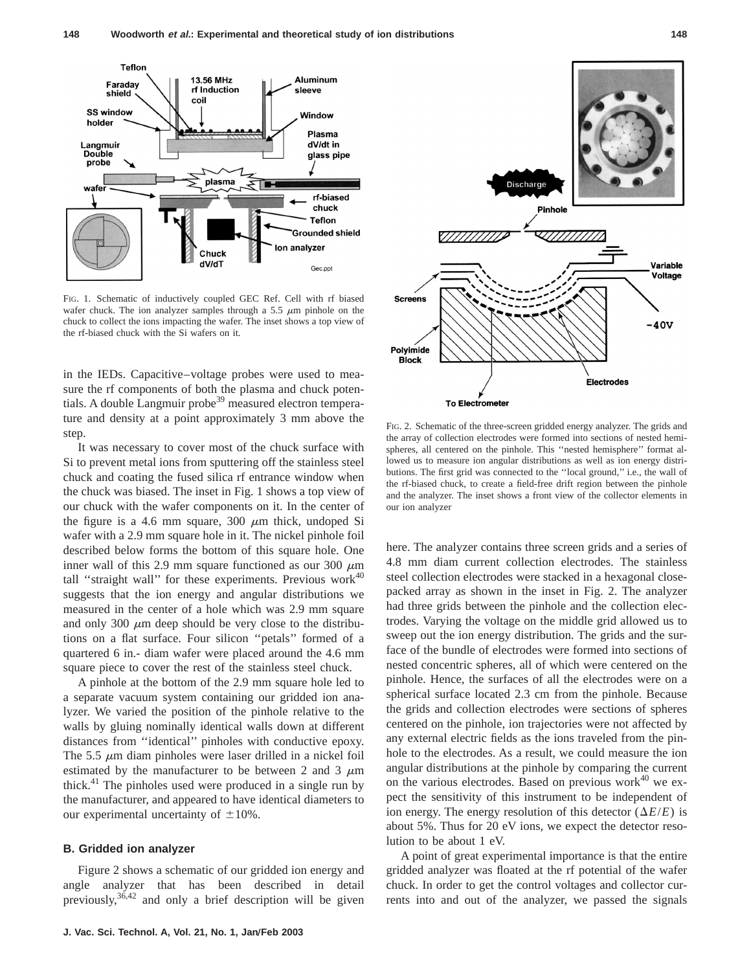

FIG. 1. Schematic of inductively coupled GEC Ref. Cell with rf biased wafer chuck. The ion analyzer samples through a 5.5  $\mu$ m pinhole on the chuck to collect the ions impacting the wafer. The inset shows a top view of the rf-biased chuck with the Si wafers on it.

in the IEDs. Capacitive–voltage probes were used to measure the rf components of both the plasma and chuck potentials. A double Langmuir probe<sup>39</sup> measured electron temperature and density at a point approximately 3 mm above the step.

It was necessary to cover most of the chuck surface with Si to prevent metal ions from sputtering off the stainless steel chuck and coating the fused silica rf entrance window when the chuck was biased. The inset in Fig. 1 shows a top view of our chuck with the wafer components on it. In the center of the figure is a 4.6 mm square, 300  $\mu$ m thick, undoped Si wafer with a 2.9 mm square hole in it. The nickel pinhole foil described below forms the bottom of this square hole. One inner wall of this 2.9 mm square functioned as our 300  $\mu$ m tall "straight wall" for these experiments. Previous work $40$ suggests that the ion energy and angular distributions we measured in the center of a hole which was 2.9 mm square and only 300  $\mu$ m deep should be very close to the distributions on a flat surface. Four silicon ''petals'' formed of a quartered 6 in.- diam wafer were placed around the 4.6 mm square piece to cover the rest of the stainless steel chuck.

A pinhole at the bottom of the 2.9 mm square hole led to a separate vacuum system containing our gridded ion analyzer. We varied the position of the pinhole relative to the walls by gluing nominally identical walls down at different distances from ''identical'' pinholes with conductive epoxy. The 5.5  $\mu$ m diam pinholes were laser drilled in a nickel foil estimated by the manufacturer to be between 2 and 3  $\mu$ m thick.<sup>41</sup> The pinholes used were produced in a single run by the manufacturer, and appeared to have identical diameters to our experimental uncertainty of  $\pm 10\%$ .

## **B. Gridded ion analyzer**

Figure 2 shows a schematic of our gridded ion energy and angle analyzer that has been described in detail previously,  $36,42$  and only a brief description will be given



FIG. 2. Schematic of the three-screen gridded energy analyzer. The grids and the array of collection electrodes were formed into sections of nested hemispheres, all centered on the pinhole. This ''nested hemisphere'' format allowed us to measure ion angular distributions as well as ion energy distributions. The first grid was connected to the ''local ground,'' i.e., the wall of the rf-biased chuck, to create a field-free drift region between the pinhole and the analyzer. The inset shows a front view of the collector elements in our ion analyzer

here. The analyzer contains three screen grids and a series of 4.8 mm diam current collection electrodes. The stainless steel collection electrodes were stacked in a hexagonal closepacked array as shown in the inset in Fig. 2. The analyzer had three grids between the pinhole and the collection electrodes. Varying the voltage on the middle grid allowed us to sweep out the ion energy distribution. The grids and the surface of the bundle of electrodes were formed into sections of nested concentric spheres, all of which were centered on the pinhole. Hence, the surfaces of all the electrodes were on a spherical surface located 2.3 cm from the pinhole. Because the grids and collection electrodes were sections of spheres centered on the pinhole, ion trajectories were not affected by any external electric fields as the ions traveled from the pinhole to the electrodes. As a result, we could measure the ion angular distributions at the pinhole by comparing the current on the various electrodes. Based on previous work $40$  we expect the sensitivity of this instrument to be independent of ion energy. The energy resolution of this detector  $(\Delta E/E)$  is about 5%. Thus for 20 eV ions, we expect the detector resolution to be about 1 eV.

A point of great experimental importance is that the entire gridded analyzer was floated at the rf potential of the wafer chuck. In order to get the control voltages and collector currents into and out of the analyzer, we passed the signals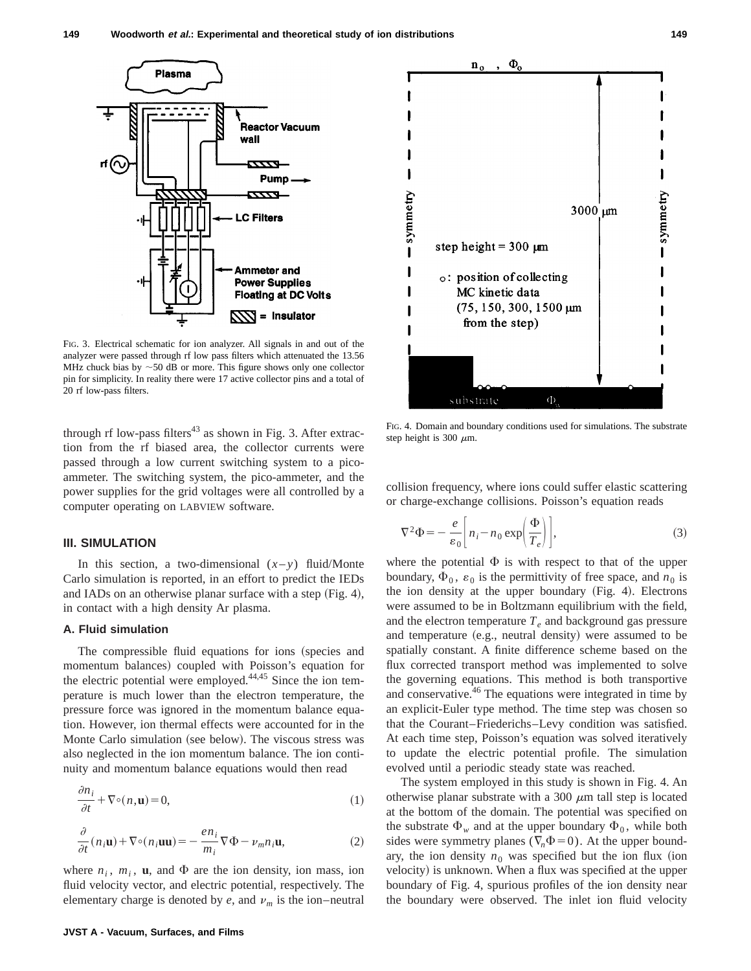

FIG. 3. Electrical schematic for ion analyzer. All signals in and out of the analyzer were passed through rf low pass filters which attenuated the 13.56 MHz chuck bias by  $\sim$  50 dB or more. This figure shows only one collector pin for simplicity. In reality there were 17 active collector pins and a total of 20 rf low-pass filters.

through rf low-pass filters<sup>43</sup> as shown in Fig. 3. After extraction from the rf biased area, the collector currents were passed through a low current switching system to a picoammeter. The switching system, the pico-ammeter, and the power supplies for the grid voltages were all controlled by a computer operating on LABVIEW software.

#### **III. SIMULATION**

In this section, a two-dimensional  $(x-y)$  fluid/Monte Carlo simulation is reported, in an effort to predict the IEDs and IADs on an otherwise planar surface with a step  $(Fig. 4)$ , in contact with a high density Ar plasma.

### **A. Fluid simulation**

The compressible fluid equations for ions (species and momentum balances) coupled with Poisson's equation for the electric potential were employed.<sup>44,45</sup> Since the ion temperature is much lower than the electron temperature, the pressure force was ignored in the momentum balance equation. However, ion thermal effects were accounted for in the Monte Carlo simulation (see below). The viscous stress was also neglected in the ion momentum balance. The ion continuity and momentum balance equations would then read

$$
\frac{\partial n_i}{\partial t} + \nabla \circ (n, \mathbf{u}) = 0,\tag{1}
$$

$$
\frac{\partial}{\partial t}(n_i \mathbf{u}) + \nabla \circ (n_i \mathbf{u} \mathbf{u}) = -\frac{en_i}{m_i} \nabla \Phi - \nu_m n_i \mathbf{u},\tag{2}
$$

where  $n_i$ ,  $m_i$ , **u**, and  $\Phi$  are the ion density, ion mass, ion fluid velocity vector, and electric potential, respectively. The elementary charge is denoted by  $e$ , and  $v_m$  is the ion–neutral



FIG. 4. Domain and boundary conditions used for simulations. The substrate step height is 300  $\mu$ m.

collision frequency, where ions could suffer elastic scattering or charge-exchange collisions. Poisson's equation reads

$$
\nabla^2 \Phi = -\frac{e}{\varepsilon_0} \left[ n_i - n_0 \exp\left(\frac{\Phi}{T_e}\right) \right],\tag{3}
$$

where the potential  $\Phi$  is with respect to that of the upper boundary,  $\Phi_0$ ,  $\varepsilon_0$  is the permittivity of free space, and  $n_0$  is the ion density at the upper boundary  $(Fig. 4)$ . Electrons were assumed to be in Boltzmann equilibrium with the field, and the electron temperature  $T_e$  and background gas pressure and temperature  $(e.g.,$  neutral density) were assumed to be spatially constant. A finite difference scheme based on the flux corrected transport method was implemented to solve the governing equations. This method is both transportive and conservative.<sup>46</sup> The equations were integrated in time by an explicit-Euler type method. The time step was chosen so that the Courant–Friederichs–Levy condition was satisfied. At each time step, Poisson's equation was solved iteratively to update the electric potential profile. The simulation evolved until a periodic steady state was reached.

The system employed in this study is shown in Fig. 4. An otherwise planar substrate with a 300  $\mu$ m tall step is located at the bottom of the domain. The potential was specified on the substrate  $\Phi_w$  and at the upper boundary  $\Phi_0$ , while both sides were symmetry planes ( $\nabla_n \Phi = 0$ ). At the upper boundary, the ion density  $n_0$  was specified but the ion flux (ion velocity) is unknown. When a flux was specified at the upper boundary of Fig. 4, spurious profiles of the ion density near the boundary were observed. The inlet ion fluid velocity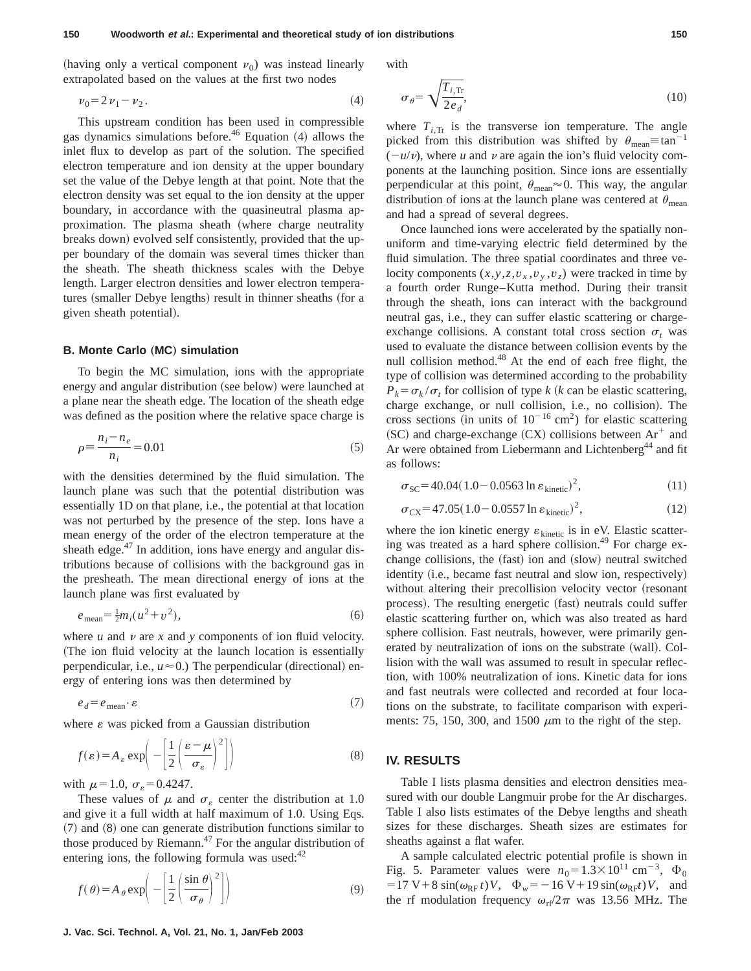(having only a vertical component  $v_0$ ) was instead linearly extrapolated based on the values at the first two nodes

with

$$
\nu_0 = 2 \nu_1 - \nu_2. \tag{4}
$$

This upstream condition has been used in compressible gas dynamics simulations before.<sup>46</sup> Equation  $(4)$  allows the inlet flux to develop as part of the solution. The specified electron temperature and ion density at the upper boundary set the value of the Debye length at that point. Note that the electron density was set equal to the ion density at the upper boundary, in accordance with the quasineutral plasma approximation. The plasma sheath (where charge neutrality breaks down) evolved self consistently, provided that the upper boundary of the domain was several times thicker than the sheath. The sheath thickness scales with the Debye length. Larger electron densities and lower electron temperatures (smaller Debye lengths) result in thinner sheaths (for a given sheath potential).

#### **B. Monte Carlo (MC) simulation**

To begin the MC simulation, ions with the appropriate energy and angular distribution (see below) were launched at a plane near the sheath edge. The location of the sheath edge was defined as the position where the relative space charge is

$$
\rho \equiv \frac{n_i - n_e}{n_i} = 0.01\tag{5}
$$

with the densities determined by the fluid simulation. The launch plane was such that the potential distribution was essentially 1D on that plane, i.e., the potential at that location was not perturbed by the presence of the step. Ions have a mean energy of the order of the electron temperature at the sheath edge. $47$  In addition, ions have energy and angular distributions because of collisions with the background gas in the presheath. The mean directional energy of ions at the launch plane was first evaluated by

$$
e_{\text{mean}} = \frac{1}{2} m_i (u^2 + v^2),\tag{6}
$$

where  $u$  and  $v$  are  $x$  and  $y$  components of ion fluid velocity. (The ion fluid velocity at the launch location is essentially perpendicular, i.e.,  $u \approx 0$ .) The perpendicular (directional) energy of entering ions was then determined by

$$
e_d = e_{\text{mean}} \cdot \varepsilon \tag{7}
$$

where  $\varepsilon$  was picked from a Gaussian distribution

$$
f(\varepsilon) = A_{\varepsilon} \exp\left(-\left[\frac{1}{2}\left(\frac{\varepsilon - \mu}{\sigma_{\varepsilon}}\right)^2\right]\right) \tag{8}
$$

with  $\mu=1.0$ ,  $\sigma_{\rm s}=0.4247$ .

These values of  $\mu$  and  $\sigma_{\varepsilon}$  center the distribution at 1.0 and give it a full width at half maximum of 1.0. Using Eqs.  $(7)$  and  $(8)$  one can generate distribution functions similar to those produced by Riemann.<sup>47</sup> For the angular distribution of entering ions, the following formula was used: $42$ 

$$
f(\theta) = A_{\theta} \exp\left(-\left[\frac{1}{2}\left(\frac{\sin \theta}{\sigma_{\theta}}\right)^{2}\right]\right)
$$
 (9)

$$
\sigma_{\theta} = \sqrt{\frac{T_{i,\text{Tr}}}{2e_d}},\tag{10}
$$

where  $T_{i, \text{Tr}}$  is the transverse ion temperature. The angle picked from this distribution was shifted by  $\theta_{\text{mean}} \equiv \tan^{-1}$  $(-u/\nu)$ , where *u* and  $\nu$  are again the ion's fluid velocity components at the launching position. Since ions are essentially perpendicular at this point,  $\theta_{\text{mean}} \approx 0$ . This way, the angular distribution of ions at the launch plane was centered at  $\theta_{\text{mean}}$ and had a spread of several degrees.

Once launched ions were accelerated by the spatially nonuniform and time-varying electric field determined by the fluid simulation. The three spatial coordinates and three velocity components  $(x, y, z, v_x, v_y, v_z)$  were tracked in time by a fourth order Runge–Kutta method. During their transit through the sheath, ions can interact with the background neutral gas, i.e., they can suffer elastic scattering or chargeexchange collisions. A constant total cross section  $\sigma_t$  was used to evaluate the distance between collision events by the null collision method.<sup>48</sup> At the end of each free flight, the type of collision was determined according to the probability  $P_k = \sigma_k / \sigma_t$  for collision of type *k* (*k* can be elastic scattering, charge exchange, or null collision, i.e., no collision). The cross sections (in units of  $10^{-16}$  cm<sup>2</sup>) for elastic scattering (SC) and charge-exchange  $(CX)$  collisions between  $Ar^+$  and Ar were obtained from Liebermann and Lichtenberg<sup>44</sup> and fit as follows:

$$
\sigma_{SC} = 40.04(1.0 - 0.0563 \ln \varepsilon_{kinetic})^2, \tag{11}
$$

$$
\sigma_{\rm CX} = 47.05(1.0 - 0.0557 \ln \varepsilon_{\rm kinetic})^2, \tag{12}
$$

where the ion kinetic energy  $\varepsilon_{\text{kinetic}}$  is in eV. Elastic scattering was treated as a hard sphere collision.<sup>49</sup> For charge exchange collisions, the (fast) ion and (slow) neutral switched identity (i.e., became fast neutral and slow ion, respectively) without altering their precollision velocity vector (resonant process). The resulting energetic (fast) neutrals could suffer elastic scattering further on, which was also treated as hard sphere collision. Fast neutrals, however, were primarily generated by neutralization of ions on the substrate (wall). Collision with the wall was assumed to result in specular reflection, with 100% neutralization of ions. Kinetic data for ions and fast neutrals were collected and recorded at four locations on the substrate, to facilitate comparison with experiments: 75, 150, 300, and 1500  $\mu$ m to the right of the step.

## **IV. RESULTS**

Table I lists plasma densities and electron densities measured with our double Langmuir probe for the Ar discharges. Table I also lists estimates of the Debye lengths and sheath sizes for these discharges. Sheath sizes are estimates for sheaths against a flat wafer.

A sample calculated electric potential profile is shown in Fig. 5. Parameter values were  $n_0=1.3\times10^{11}$  cm<sup>-3</sup>,  $\Phi_0$  $= 17 \text{ V} + 8 \sin(\omega_{\text{RF}} t) V$ ,  $\Phi_w = -16 \text{ V} + 19 \sin(\omega_{\text{RF}} t) V$ , and the rf modulation frequency  $\omega_{\text{rf}}/2\pi$  was 13.56 MHz. The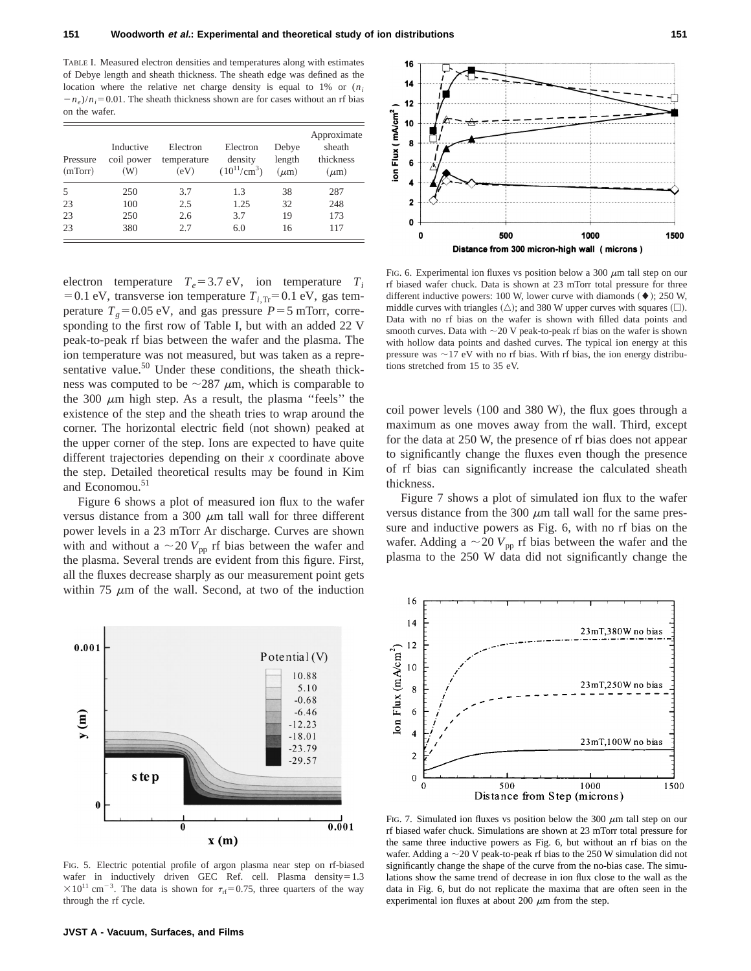16  $14$  $12$ 

ion Flux (mA/cm<sup>2</sup>) 10 8  $6$ 

> $\overline{2}$  $\mathbf{0}$  $\mathbf 0$

TABLE I. Measured electron densities and temperatures along with estimates of Debye length and sheath thickness. The sheath edge was defined as the location where the relative net charge density is equal to  $1\%$  or  $(n_i)$  $-n_e$ )/ $n_i$ =0.01. The sheath thickness shown are for cases without an rf bias on the wafer.

| Pressure<br>(mTorr) | Inductive<br>coil power<br>(W) | Electron<br>temperature<br>(eV) | Electron<br>density<br>$(10^{11}/\text{cm}^3)$ | Debye<br>length<br>$(\mu m)$ | Approximate<br>sheath<br>thickness<br>$(\mu m)$ |
|---------------------|--------------------------------|---------------------------------|------------------------------------------------|------------------------------|-------------------------------------------------|
| 5                   | 250                            | 3.7                             | 1.3                                            | 38                           | 287                                             |
| 23                  | 100                            | 2.5                             | 1.25                                           | 32                           | 248                                             |
| 23                  | 250                            | 2.6                             | 3.7                                            | 19                           | 173                                             |
| 23                  | 380                            | 2.7                             | 6.0                                            | 16                           | 117                                             |

electron temperature  $T_e$ =3.7 eV, ion temperature  $T_i$ = 0.1 eV, transverse ion temperature  $T<sub>i, Tr</sub>$ = 0.1 eV, gas temperature  $T<sub>g</sub>=0.05$  eV, and gas pressure  $P=5$  mTorr, corresponding to the first row of Table I, but with an added 22 V peak-to-peak rf bias between the wafer and the plasma. The ion temperature was not measured, but was taken as a representative value. $50$  Under these conditions, the sheath thickness was computed to be  $\sim$ 287  $\mu$ m, which is comparable to the 300  $\mu$ m high step. As a result, the plasma "feels" the existence of the step and the sheath tries to wrap around the corner. The horizontal electric field (not shown) peaked at the upper corner of the step. Ions are expected to have quite different trajectories depending on their *x* coordinate above the step. Detailed theoretical results may be found in Kim and Economou.<sup>51</sup>

Figure 6 shows a plot of measured ion flux to the wafer versus distance from a 300  $\mu$ m tall wall for three different power levels in a 23 mTorr Ar discharge. Curves are shown with and without a  $\sim$  20  $V_{\text{pp}}$  rf bias between the wafer and the plasma. Several trends are evident from this figure. First, all the fluxes decrease sharply as our measurement point gets within 75  $\mu$ m of the wall. Second, at two of the induction



FIG. 5. Electric potential profile of argon plasma near step on rf-biased wafer in inductively driven GEC Ref. cell. Plasma density= $1.3$  $\times 10^{11}$  cm<sup>-3</sup>. The data is shown for  $\tau_{\text{rf}}=0.75$ , three quarters of the way through the rf cycle.



FIG. 6. Experimental ion fluxes vs position below a 300  $\mu$ m tall step on our rf biased wafer chuck. Data is shown at 23 mTorr total pressure for three different inductive powers: 100 W, lower curve with diamonds  $(\blacklozenge)$ ; 250 W, middle curves with triangles  $(\triangle)$ ; and 380 W upper curves with squares  $(\square)$ . Data with no rf bias on the wafer is shown with filled data points and smooth curves. Data with  $\sim$  20 V peak-to-peak rf bias on the wafer is shown with hollow data points and dashed curves. The typical ion energy at this pressure was  $\sim$ 17 eV with no rf bias. With rf bias, the ion energy distributions stretched from 15 to 35 eV.

Distance from 300 micron-high wall (microns)

1000

500

coil power levels  $(100 \text{ and } 380 \text{ W})$ , the flux goes through a maximum as one moves away from the wall. Third, except for the data at 250 W, the presence of rf bias does not appear to significantly change the fluxes even though the presence of rf bias can significantly increase the calculated sheath thickness.

Figure 7 shows a plot of simulated ion flux to the wafer versus distance from the 300  $\mu$ m tall wall for the same pressure and inductive powers as Fig. 6, with no rf bias on the wafer. Adding a  $\sim$  20  $V_{\text{pp}}$  rf bias between the wafer and the plasma to the 250 W data did not significantly change the

FIG. 7. Simulated ion fluxes vs position below the 300  $\mu$ m tall step on our rf biased wafer chuck. Simulations are shown at 23 mTorr total pressure for the same three inductive powers as Fig. 6, but without an rf bias on the wafer. Adding a  $\sim$  20 V peak-to-peak rf bias to the 250 W simulation did not significantly change the shape of the curve from the no-bias case. The simulations show the same trend of decrease in ion flux close to the wall as the data in Fig. 6, but do not replicate the maxima that are often seen in the experimental ion fluxes at about 200  $\mu$ m from the step.



1500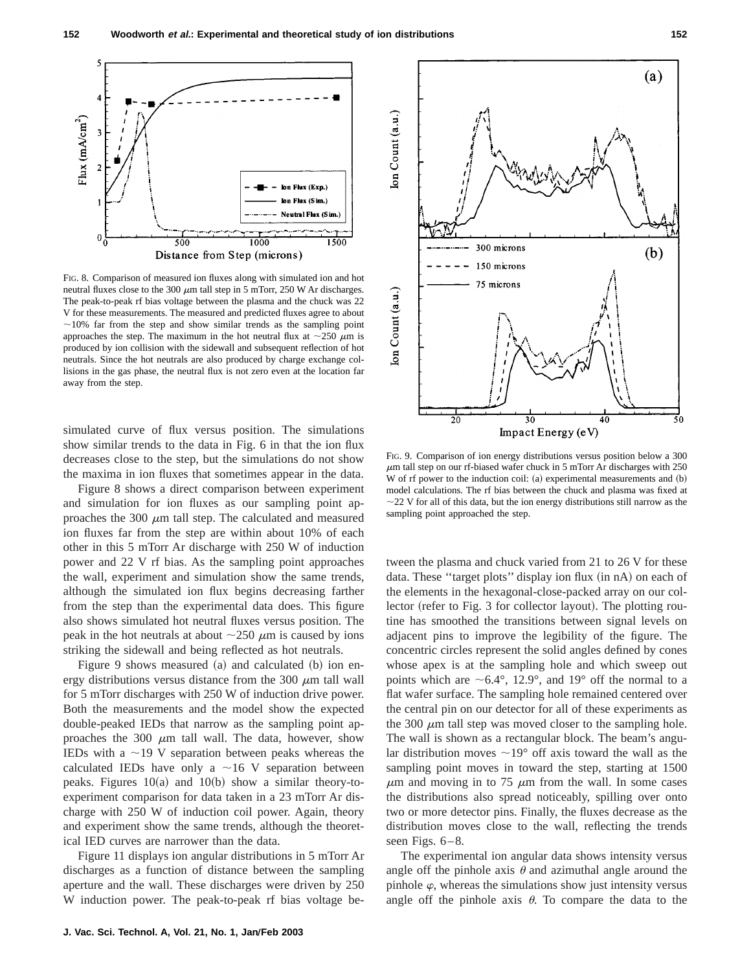

FIG. 8. Comparison of measured ion fluxes along with simulated ion and hot neutral fluxes close to the 300  $\mu$ m tall step in 5 mTorr, 250 W Ar discharges. The peak-to-peak rf bias voltage between the plasma and the chuck was 22 V for these measurements. The measured and predicted fluxes agree to about  $\sim$ 10% far from the step and show similar trends as the sampling point approaches the step. The maximum in the hot neutral flux at  $\sim$ 250  $\mu$ m is produced by ion collision with the sidewall and subsequent reflection of hot neutrals. Since the hot neutrals are also produced by charge exchange collisions in the gas phase, the neutral flux is not zero even at the location far away from the step.

simulated curve of flux versus position. The simulations show similar trends to the data in Fig. 6 in that the ion flux decreases close to the step, but the simulations do not show the maxima in ion fluxes that sometimes appear in the data.

Figure 8 shows a direct comparison between experiment and simulation for ion fluxes as our sampling point approaches the 300  $\mu$ m tall step. The calculated and measured ion fluxes far from the step are within about 10% of each other in this 5 mTorr Ar discharge with 250 W of induction power and 22 V rf bias. As the sampling point approaches the wall, experiment and simulation show the same trends, although the simulated ion flux begins decreasing farther from the step than the experimental data does. This figure also shows simulated hot neutral fluxes versus position. The peak in the hot neutrals at about  $\sim$ 250  $\mu$ m is caused by ions striking the sidewall and being reflected as hot neutrals.

Figure 9 shows measured  $(a)$  and calculated  $(b)$  ion energy distributions versus distance from the 300  $\mu$ m tall wall for 5 mTorr discharges with 250 W of induction drive power. Both the measurements and the model show the expected double-peaked IEDs that narrow as the sampling point approaches the 300  $\mu$ m tall wall. The data, however, show IEDs with a  $\sim$ 19 V separation between peaks whereas the calculated IEDs have only a  $\sim$ 16 V separation between peaks. Figures  $10(a)$  and  $10(b)$  show a similar theory-toexperiment comparison for data taken in a 23 mTorr Ar discharge with 250 W of induction coil power. Again, theory and experiment show the same trends, although the theoretical IED curves are narrower than the data.

Figure 11 displays ion angular distributions in 5 mTorr Ar discharges as a function of distance between the sampling aperture and the wall. These discharges were driven by 250 W induction power. The peak-to-peak rf bias voltage be-



FIG. 9. Comparison of ion energy distributions versus position below a 300  $\mu$ m tall step on our rf-biased wafer chuck in 5 mTorr Ar discharges with 250 W of rf power to the induction coil:  $(a)$  experimental measurements and  $(b)$ model calculations. The rf bias between the chuck and plasma was fixed at  $\sim$  22 V for all of this data, but the ion energy distributions still narrow as the sampling point approached the step.

tween the plasma and chuck varied from 21 to 26 V for these data. These "target plots" display ion flux (in nA) on each of the elements in the hexagonal-close-packed array on our collector (refer to Fig. 3 for collector layout). The plotting routine has smoothed the transitions between signal levels on adjacent pins to improve the legibility of the figure. The concentric circles represent the solid angles defined by cones whose apex is at the sampling hole and which sweep out points which are  $\sim 6.4^{\circ}$ , 12.9°, and 19° off the normal to a flat wafer surface. The sampling hole remained centered over the central pin on our detector for all of these experiments as the 300  $\mu$ m tall step was moved closer to the sampling hole. The wall is shown as a rectangular block. The beam's angular distribution moves  $\sim 19^{\circ}$  off axis toward the wall as the sampling point moves in toward the step, starting at 1500  $\mu$ m and moving in to 75  $\mu$ m from the wall. In some cases the distributions also spread noticeably, spilling over onto two or more detector pins. Finally, the fluxes decrease as the distribution moves close to the wall, reflecting the trends seen Figs. 6–8.

The experimental ion angular data shows intensity versus angle off the pinhole axis  $\theta$  and azimuthal angle around the pinhole  $\varphi$ , whereas the simulations show just intensity versus angle off the pinhole axis  $\theta$ . To compare the data to the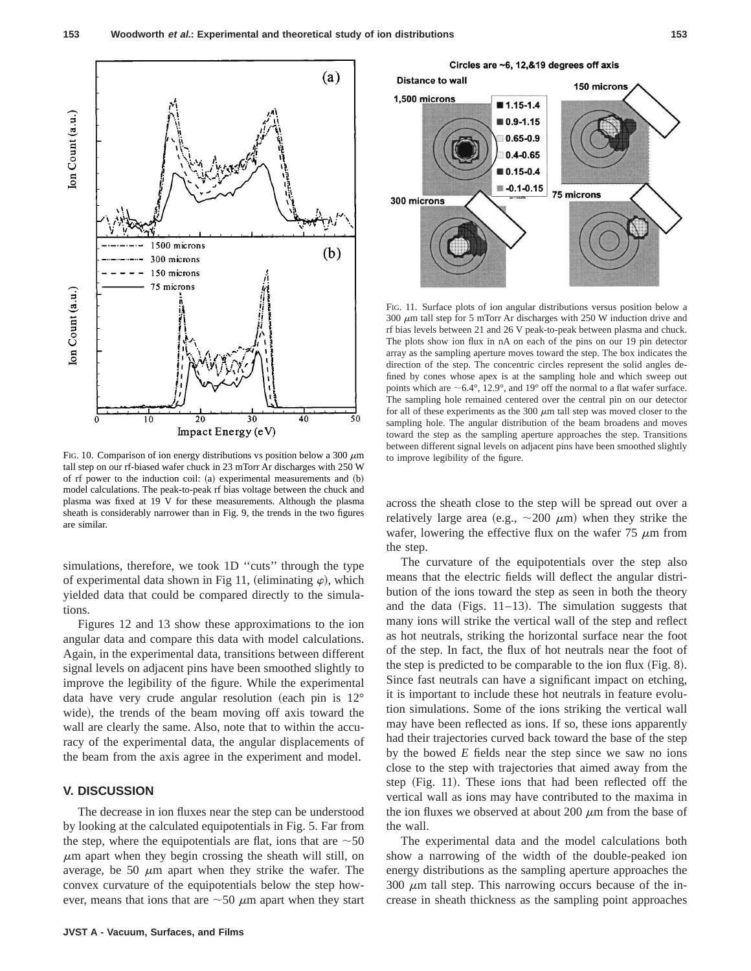

FIG. 10. Comparison of ion energy distributions vs position below a 300  $\mu$ m tall step on our rf-biased wafer chuck in 23 mTorr Ar discharges with 250 W of rf power to the induction coil:  $(a)$  experimental measurements and  $(b)$ model calculations. The peak-to-peak rf bias voltage between the chuck and plasma was fixed at 19 V for these measurements. Although the plasma sheath is considerably narrower than in Fig. 9, the trends in the two figures are similar.

simulations, therefore, we took 1D "cuts" through the type of experimental data shown in Fig 11, (eliminating  $\varphi$ ), which yielded data that could be compared directly to the simulations.

Figures 12 and 13 show these approximations to the ion angular data and compare this data with model calculations. Again, in the experimental data, transitions between different signal levels on adjacent pins have been smoothed slightly to improve the legibility of the figure. While the experimental data have very crude angular resolution (each pin is  $12^{\circ}$ wide), the trends of the beam moving off axis toward the wall are clearly the same. Also, note that to within the accuracy of the experimental data, the angular displacements of the beam from the axis agree in the experiment and model.

## **V. DISCUSSION**

The decrease in ion fluxes near the step can be understood by looking at the calculated equipotentials in Fig. 5. Far from the step, where the equipotentials are flat, ions that are  $\sim$  50  $\mu$ m apart when they begin crossing the sheath will still, on average, be 50  $\mu$ m apart when they strike the wafer. The convex curvature of the equipotentials below the step however, means that ions that are  $\sim$  50  $\mu$ m apart when they start



FIG. 11. Surface plots of ion angular distributions versus position below a  $300 \mu$ m tall step for 5 mTorr Ar discharges with 250 W induction drive and rf bias levels between 21 and 26 V peak-to-peak between plasma and chuck. The plots show ion flux in nA on each of the pins on our 19 pin detector array as the sampling aperture moves toward the step. The box indicates the direction of the step. The concentric circles represent the solid angles defined by cones whose apex is at the sampling hole and which sweep out points which are  $\sim$  6.4°, 12.9°, and 19° off the normal to a flat wafer surface. The sampling hole remained centered over the central pin on our detector for all of these experiments as the 300  $\mu$ m tall step was moved closer to the sampling hole. The angular distribution of the beam broadens and moves toward the step as the sampling aperture approaches the step. Transitions between different signal levels on adjacent pins have been smoothed slightly to improve legibility of the figure.

across the sheath close to the step will be spread out over a relatively large area (e.g.,  $\sim$  200  $\mu$ m) when they strike the wafer, lowering the effective flux on the wafer  $75 \mu m$  from the step.

The curvature of the equipotentials over the step also means that the electric fields will deflect the angular distribution of the ions toward the step as seen in both the theory and the data (Figs.  $11-13$ ). The simulation suggests that many ions will strike the vertical wall of the step and reflect as hot neutrals, striking the horizontal surface near the foot of the step. In fact, the flux of hot neutrals near the foot of the step is predicted to be comparable to the ion flux  $(Fig. 8)$ . Since fast neutrals can have a significant impact on etching, it is important to include these hot neutrals in feature evolution simulations. Some of the ions striking the vertical wall may have been reflected as ions. If so, these ions apparently had their trajectories curved back toward the base of the step by the bowed *E* fields near the step since we saw no ions close to the step with trajectories that aimed away from the step  $(Fig. 11)$ . These ions that had been reflected off the vertical wall as ions may have contributed to the maxima in the ion fluxes we observed at about 200  $\mu$ m from the base of the wall.

The experimental data and the model calculations both show a narrowing of the width of the double-peaked ion energy distributions as the sampling aperture approaches the  $300 \mu m$  tall step. This narrowing occurs because of the increase in sheath thickness as the sampling point approaches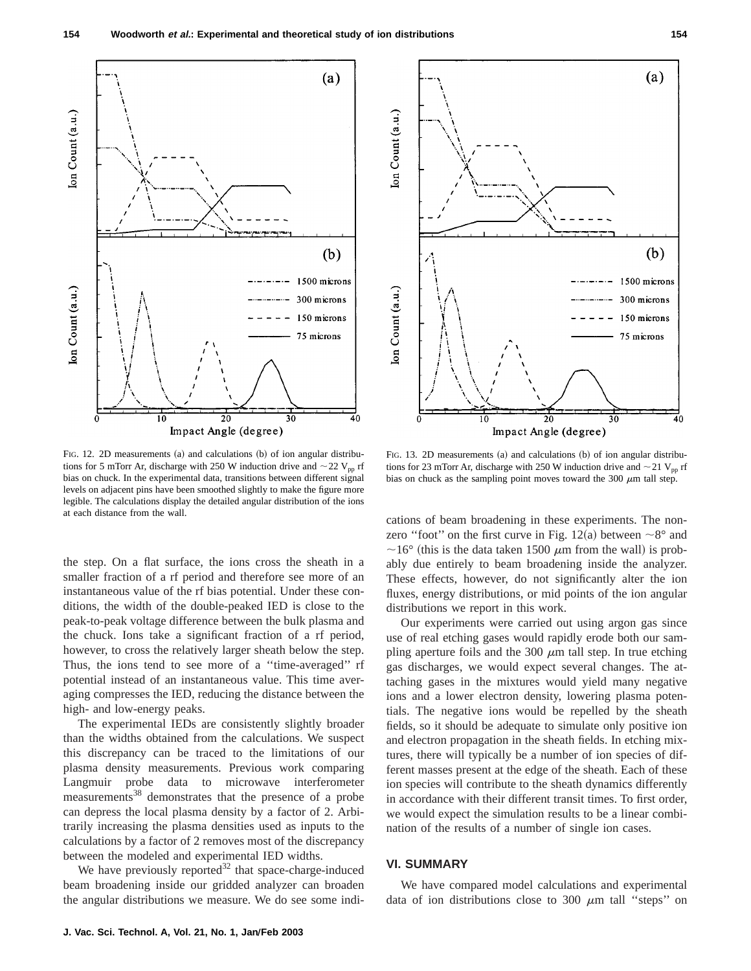

FIG. 12. 2D measurements (a) and calculations  $(b)$  of ion angular distributions for 5 mTorr Ar, discharge with 250 W induction drive and  $\sim$  22 V<sub>pp</sub> rf bias on chuck. In the experimental data, transitions between different signal levels on adjacent pins have been smoothed slightly to make the figure more legible. The calculations display the detailed angular distribution of the ions at each distance from the wall.

the step. On a flat surface, the ions cross the sheath in a smaller fraction of a rf period and therefore see more of an instantaneous value of the rf bias potential. Under these conditions, the width of the double-peaked IED is close to the peak-to-peak voltage difference between the bulk plasma and the chuck. Ions take a significant fraction of a rf period, however, to cross the relatively larger sheath below the step. Thus, the ions tend to see more of a ''time-averaged'' rf potential instead of an instantaneous value. This time averaging compresses the IED, reducing the distance between the high- and low-energy peaks.

The experimental IEDs are consistently slightly broader than the widths obtained from the calculations. We suspect this discrepancy can be traced to the limitations of our plasma density measurements. Previous work comparing Langmuir probe data to microwave interferometer measurements<sup>38</sup> demonstrates that the presence of a probe can depress the local plasma density by a factor of 2. Arbitrarily increasing the plasma densities used as inputs to the calculations by a factor of 2 removes most of the discrepancy between the modeled and experimental IED widths.

We have previously reported $32$  that space-charge-induced beam broadening inside our gridded analyzer can broaden the angular distributions we measure. We do see some indi-



FIG. 13. 2D measurements (a) and calculations (b) of ion angular distributions for 23 mTorr Ar, discharge with 250 W induction drive and  $\sim$  21 V<sub>pp</sub> rf bias on chuck as the sampling point moves toward the 300  $\mu$ m tall step.

cations of beam broadening in these experiments. The nonzero "foot" on the first curve in Fig. 12(a) between  $\sim 8^{\circ}$  and  $\sim$ 16° (this is the data taken 1500  $\mu$ m from the wall) is probably due entirely to beam broadening inside the analyzer. These effects, however, do not significantly alter the ion fluxes, energy distributions, or mid points of the ion angular distributions we report in this work.

Our experiments were carried out using argon gas since use of real etching gases would rapidly erode both our sampling aperture foils and the 300  $\mu$ m tall step. In true etching gas discharges, we would expect several changes. The attaching gases in the mixtures would yield many negative ions and a lower electron density, lowering plasma potentials. The negative ions would be repelled by the sheath fields, so it should be adequate to simulate only positive ion and electron propagation in the sheath fields. In etching mixtures, there will typically be a number of ion species of different masses present at the edge of the sheath. Each of these ion species will contribute to the sheath dynamics differently in accordance with their different transit times. To first order, we would expect the simulation results to be a linear combination of the results of a number of single ion cases.

## **VI. SUMMARY**

We have compared model calculations and experimental data of ion distributions close to 300  $\mu$ m tall "steps" on